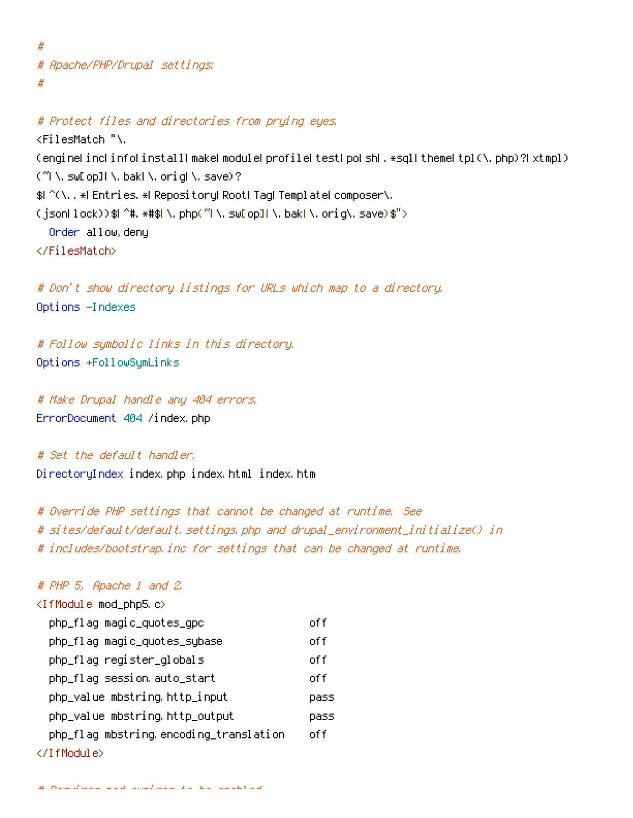# # Apache/PHP/Drupal settings: #

```
# Protect files and directories from prying eyes.
<FilesMatch "\.
(engine|inc|info|install|make|module|profile|test|po|sh|.*sql|theme|tpl(\,php)?|xtmpl)
(~|\.sw[op]|\.bak|\.orig|\.save)?
$|^(\..*|Entries.*|Repository|Root|Tag|Template|composer\.
(json|lock))$|^#.*#$|\.php(~|\.sw[op]|\.bak|\.orig\.save)$">
  Order allow,deny
</FilesMatch>
```
# Don't show directory listings for URLs which map to <sup>a</sup> directory. Options -Indexes

# Follow symbolic links in this directory. Options +FollowSymLinks

# Make Drupal handle any 404 errors. ErrorDocument 404 /index.php

# Set the default handler. DirectoryIndex index.php index.html index.htm

# Override PHP settings that cannot be changed at runtime. See # sites/default/default.settings.php and drupal\_environment\_initialize() in # includes/bootstrap.inc for settings that can be changed at runtime.

## # PHP 5, Apache 1 and 2.

| <ifmodule mod_php5.c=""></ifmodule>    |       |
|----------------------------------------|-------|
| php_flag magic_quotes_gpc              | off   |
| php_flag magic_quotes_sybase           | off   |
| php_flag register_globals              | off   |
| php_flaq session auto_start            | of f  |
| php_value mbstring.http_input          | pass  |
| php_value mbstring http_output         | pass  |
| php_flaq mbstring encoding_translation | nf fi |
|                                        |       |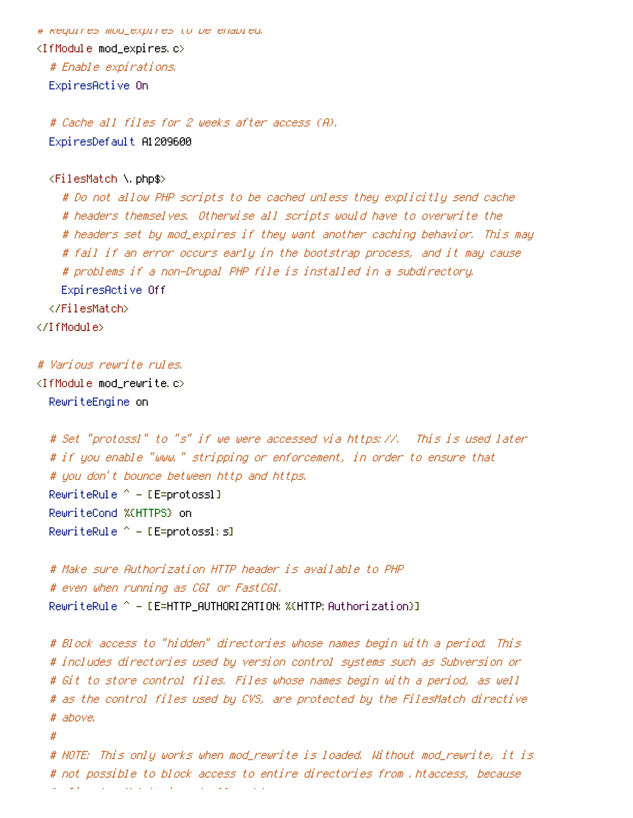# Requires mod\_expires to be enabled. <IfModule mod\_expires.c> # Enable expirations. ExpiresActive On

# Cache all files for 2 weeks after access (A). ExpiresDefault A1209600

## <FilesMatch \.php\$>

# Do not allow PHP scripts to be cached unless they explicitly send cache # headers themselves. Otherwise all scripts would have to overwrite the # headers set by mod\_expires if they want another caching behavior. This may # fail if an error occurs early in the bootstrap process, and it may cause # problems if <sup>a</sup> non-Drupal PHP file is installed in <sup>a</sup> subdirectory. ExpiresActive Off </FilesMatch> </IfModule>

# Various rewrite rules.

<IfModule mod\_rewrite.c> RewriteEngine on

# Set "protossl" to "s" if we were accessed via https://. This is used later # if you enable "www." stripping or enforcement, in order to ensure that # you don't bounce between http and https. RewriteRule  $^{\wedge}$  - [E=protossl] RewriteCond %{HTTPS} on RewriteRule  $^{\wedge}$  - [E=protossl: s]

# Make sure Authorization HTTP header is available to PHP # even when running as CGI or FastCGI. RewriteRule  $^{\circ}$  - [E=HTTP\_AUTHORIZATION: %(HTTP: Authorization)]

# Block access to "hidden" directories whose names begin with <sup>a</sup> period. This # includes directories used by version control systems such as Subversion or # Git to store control files. Files whose names begin with <sup>a</sup> period, as well # as the control files used by CVS, are protected by the FilesMatch directive # above.

#

# NOTE: This only works when mod\_rewrite is loaded. Without mod\_rewrite, it is # not possible to block access to entire directories from .htaccess, because # a small control of a small control of the control of the control of the control of the control of the control of the control of the control of the control of the control of the control of the control of the control of th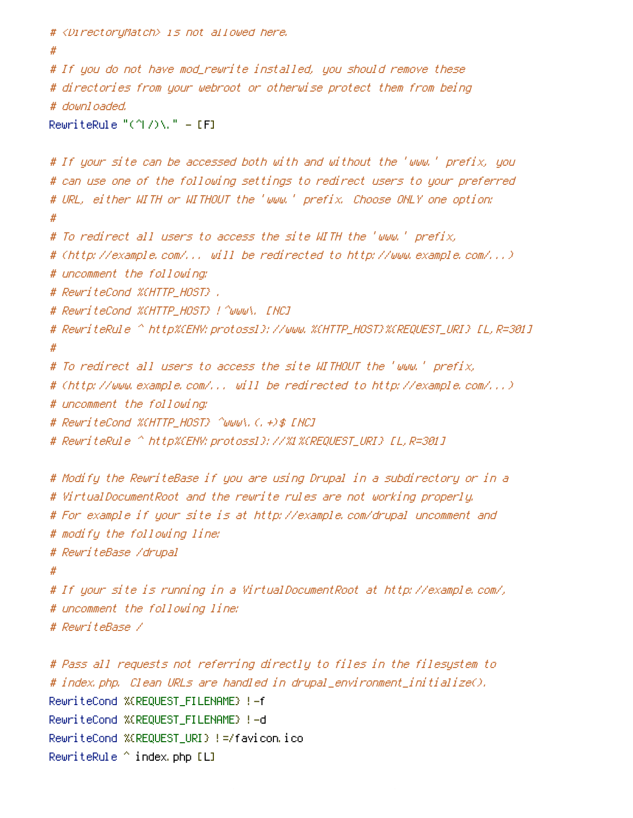```
# <DirectoryMatch> is not allowed here.
#
# If you do not have mod_rewrite installed, you should remove these
# directories from your webroot or otherwise protect them from being
# downloaded.
RewriteRule "(^\circ\uparrow/\rangle\setminus." - [F]
# If your site can be accessed both with and without the 'www.' prefix, you
# can use one of the following settings to redirect users to your preferred
# URL, either WITH or WITHOUT the 'www.' prefix. Choose ONLY one option:
#
# To redirect all users to access the site WITH the 'www.' prefix,
# (http://example.com/... will be redirected to http://www.example.com/...)
# uncomment the following:
# RewriteCond %{HTTP_HOST} .
# RewriteCond %{HTTP_HOST} !^www\. [NC]
# RewriteRule ^ http%{ENV:protossl}://www.%{HTTP_HOST}%{REQUEST_URI} [L,R=301]
#
# To redirect all users to access the site WITHOUT the 'www.' prefix,
# (http://www.example.com/... will be redirected to http://example.com/...)
# uncomment the following:
# RewriteCond %{HTTP_HOST} ^www\.(.+)$ [NC]
# RewriteRule ^ http%{ENV:protossl}://%1%{REQUEST_URI} [L,R=301]
# Modify the RewriteBase if you are using Drupal in a subdirectory or in a
# VirtualDocumentRoot and the rewrite rules are not working properly.
# For example if your site is at http://example.com/drupal uncomment and
# modify the following line:
# RewriteBase /drupal
#
# If your site is running in a VirtualDocumentRoot at http://example.com/,
# uncomment the following line:
# RewriteBase /
# Pass all requests not referring directly to files in the filesystem to
# index.php. Clean URLs are handled in drupal_environment_initialize().
RewriteCond %{REQUEST_FILENAME} !-f
RewriteCond %{REQUEST_FILENAME} !-d
```

```
RewriteCond %{REQUEST_URI} !=/favicon.ico
```
RewriteRule ^ index.php [L]